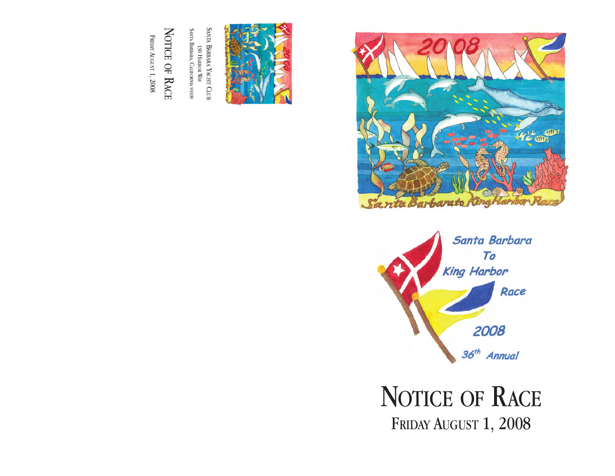



NOTICE OF RACE FRIDAY AUGUST 1, 2008



SANTA BARBARA YACHT CLUB 130 HARBOR WAY SANTA BARBARA, **CALIFORNIA** 93109

N O TIC E O F  $\blacktriangleright$ AC E

FRIDAY AUGUST ب. 2008